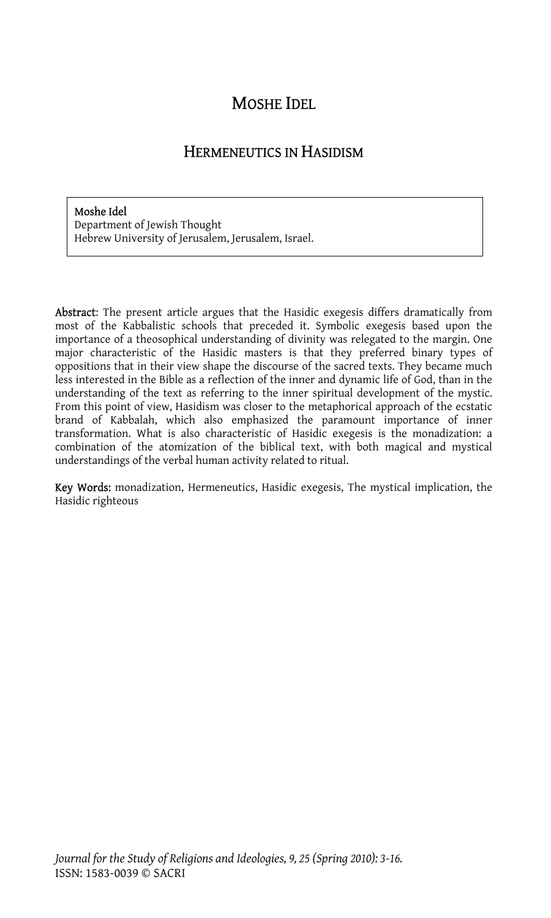# MOSHE IDEL

## HERMENEUTICS IN HASIDISM

#### Moshe Idel

Department of Jewish Thought Hebrew University of Jerusalem, Jerusalem, Israel.

Abstract: The present article argues that the Hasidic exegesis differs dramatically from most of the Kabbalistic schools that preceded it. Symbolic exegesis based upon the importance of a theosophical understanding of divinity was relegated to the margin. One major characteristic of the Hasidic masters is that they preferred binary types of oppositions that in their view shape the discourse of the sacred texts. They became much less interested in the Bible as a reflection of the inner and dynamic life of God, than in the understanding of the text as referring to the inner spiritual development of the mystic. From this point of view, Hasidism was closer to the metaphorical approach of the ecstatic brand of Kabbalah, which also emphasized the paramount importance of inner transformation. What is also characteristic of Hasidic exegesis is the monadization: a combination of the atomization of the biblical text, with both magical and mystical understandings of the verbal human activity related to ritual.

Key Words: monadization, Hermeneutics, Hasidic exegesis, The mystical implication, the Hasidic righteous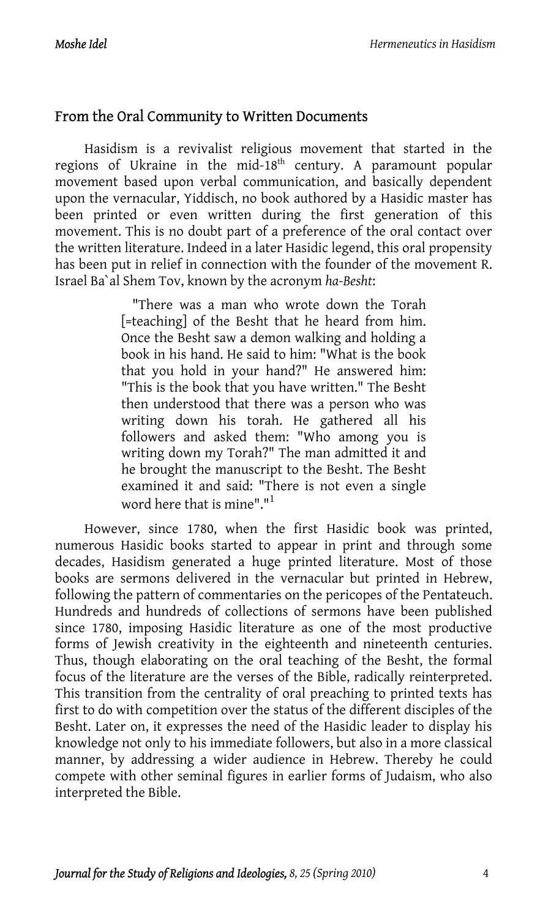## From the Oral Community to Written Documents

Hasidism is a revivalist religious movement that started in the regions of Ukraine in the mid- $18<sup>th</sup>$  century. A paramount popular movement based upon verbal communication, and basically dependent upon the vernacular, Yiddisch, no book authored by a Hasidic master has been printed or even written during the first generation of this movement. This is no doubt part of a preference of the oral contact over the written literature. Indeed in a later Hasidic legend, this oral propensity has been put in relief in connection with the founder of the movement R. Israel Ba`al Shem Tov, known by the acronym *ha-Besht*:

> "There was a man who wrote down the Torah [=teaching] of the Besht that he heard from him. Once the Besht saw a demon walking and holding a book in his hand. He said to him: "What is the book that you hold in your hand?" He answered him: "This is the book that you have written." The Besht then understood that there was a person w[ho](#page-13-0) was writing down his torah. He gathered all his followers and asked them: "Who among you is writing down my Torah?" The man admitted it and he brought the manuscript to the Besht. The Besht examined it and said: "There is not even a single word here that is mine"." $^{\rm 1}$

However, since 1780, when the first Hasidic book was printed, numerous Hasidic books started to appear in print and through some decades, Hasidism generated a huge printed literature. Most of those books are sermons delivered in the vernacular but printed in Hebrew, following the pattern of commentaries on the pericopes of the Pentateuch. Hundreds and hundreds of collections of sermons have been published since 1780, imposing Hasidic literature as one of the most productive forms of Jewish creativity in the eighteenth and nineteenth centuries. Thus, though elaborating on the oral teaching of the Besht, the formal focus of the literature are the verses of the Bible, radically reinterpreted. This transition from the centrality of oral preaching to printed texts has first to do with competition over the status of the different disciples of the Besht. Later on, it expresses the need of the Hasidic leader to display his knowledge not only to his immediate followers, but also in a more classical manner, by addressing a wider audience in Hebrew. Thereby he could compete with other seminal figures in earlier forms of Judaism, who also interpreted the Bible.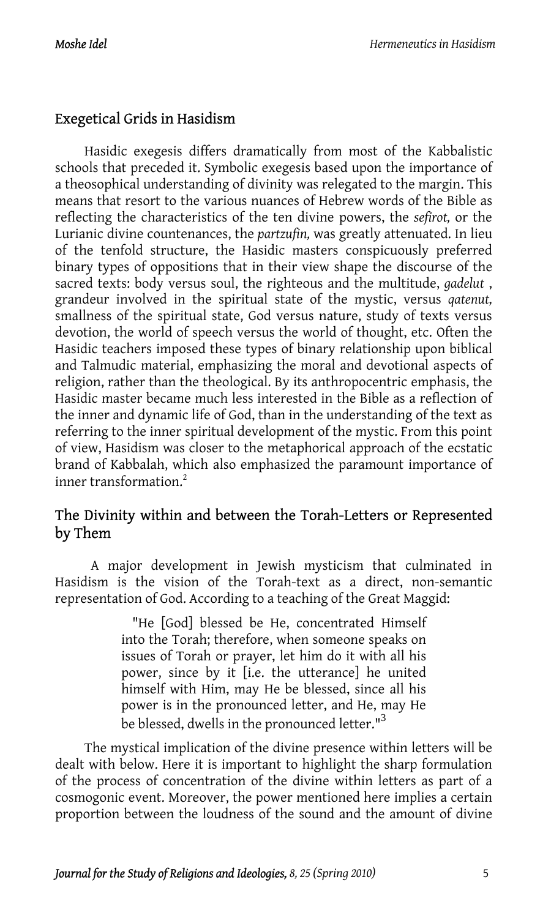#### Exegetical Grids in Hasidism

Hasidic exegesis differs dramatically from most of the Kabbalistic schools that preceded it. Symbolic exegesis based upon the importance of a theosophical understanding of divinity was relegated to the margin. This means that resort to the various nuances of Hebrew words of the Bible as reflecting the characteristics of the ten divine powers, the *sefirot,* or the Lurianic divine countenances, the *partzufin,* was greatly attenuated. In lieu of the tenfold structure, the Hasidic masters conspicuously preferred binary types of oppositions that in their view shape the discourse of the sacred texts: body versus soul, the righteous and the multitude, *gadelut* , grandeur involved in the spiritual state of the mystic, versus *qatenut,* smallness of the spiritual state, God versus nature, study of texts versus devotion, the world of speech versus the world of thought, etc. Often the Hasidic teachers imposed these types of binary relationship upon biblical and Talmudic material, emphasizing the [m](#page-13-1)oral and devotional aspects of religion, rather than the theological. By its anthropocentric emphasis, the Hasidic master became much less interested in the Bible as a reflection of the inner and dynamic life of God, than in the understanding of the text as referring to the inner spiritual development of the mystic. From this point of view, Hasidism was closer to the metaphorical approach of the ecstatic brand of Kabbalah, which also emphasized the paramount importance of inner transformation.<sup>2</sup>

## The Divinity within and between the Torah-Letters or Represented by Them

A major development in Jewish mysticism that culminated in Hasidism is the vision of the Torah-text as a direct, non-semantic representation of God. According to a teaching of the Great Maggid:

> "He [God] blessed be He, concentrated Himself into the Torah; therefore, when someone speaks on issues of Torah or prayer, let him do it with all his power, since by it [i.e. the utterance] he united himself with Him, may He be blessed, since all his power is in the pronounced letter, and He, may He be blessed, dwells in the pronounced letter."<sup>3</sup>

The mystical implication of the divine presence within letters will be dealt with below. Here it is important to highlight the sharp formulation of the process of concentration of the divine within letters as part of a cosmogonic event. Moreover, the power mentioned here implies a certain proportion between the loudness of the sound and the amount of divine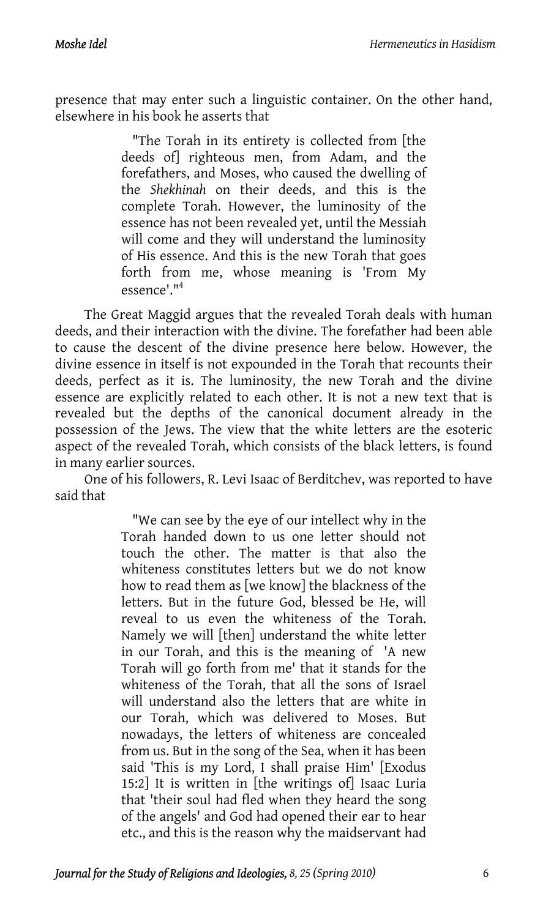presence that may enter such a linguistic container. On the other hand, elsewhere in his book he asserts that

> "The Torah in its entirety is collected from [the deeds of] righteous men, from Adam, and the forefathers, and Moses, who caused the dwelling of the *Shekhinah* on their de[ed](#page-13-2)s, and this is the complete Torah. However, the luminosity of the essence has not been revealed yet, until the Messiah will come and they will understand the luminosity of His essence. And this is the new Torah that goes forth from me, whose meaning is 'From My  $\epsilon$ ssence<sup>l. 114</sup>

The Great Maggid argues that the revealed Torah deals with human deeds, and their interaction with the divine. The forefather had been able to cause the descent of the divine presence here below. However, the divine essence in itself is not expounded in the Torah that recounts their deeds, perfect as it is. The luminosity, the new Torah and the divine essence are explicitly related to each other. It is not a new text that is revealed but the depths of the canonical document already in the possession of the Jews. The view that the white letters are the esoteric aspect of the revealed Torah, which consists of the black letters, is found in many earlier sources.

One of his followers, R. Levi Isaac of Berditchev, was reported to have said that

> "We can see by the eye of our intellect why in the Torah handed down to us one letter should not touch the other. The matter is that also the whiteness constitutes letters but we do not know how to read them as [we know] the blackness of the letters. But in the future God, blessed be He, will reveal to us even the whiteness of the Torah. Namely we will [then] understand the white letter in our Torah, and this is the meaning of 'A new Torah will go forth from me' that it stands for the whiteness of the Torah, that all the sons of Israel will understand also the letters that are white in our Torah, which was delivered to Moses. But nowadays, the letters of whiteness are concealed from us. But in the song of the Sea, when it has been said 'This is my Lord, I shall praise Him' [Exodus 15:2] It is written in [the writings of] Isaac Luria that 'their soul had fled when they heard the song of the angels' and God had opened their ear to hear etc., and this is the reason why the maidservant had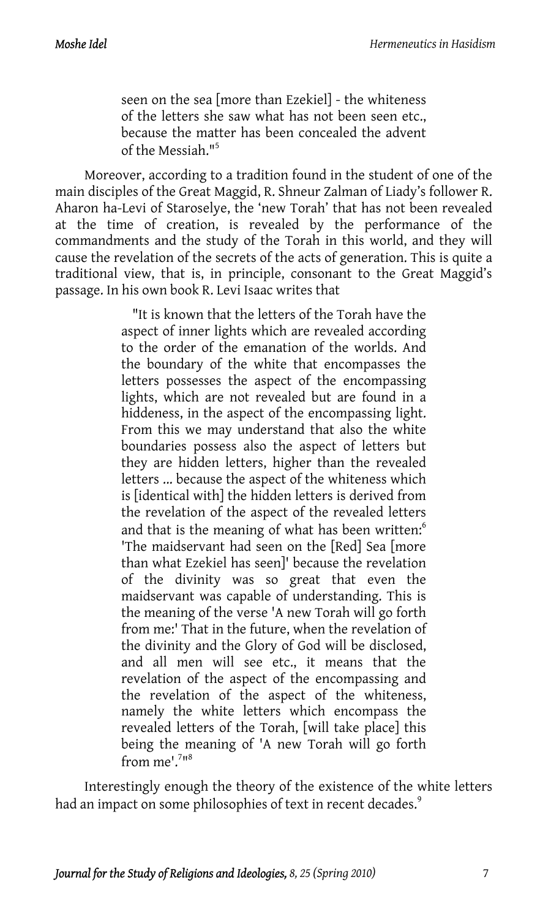seen on the sea [more than Ezekiel] - the whiteness of the letters she saw what has not been seen etc., because the matter has been concealed the advent of the Messiah."<sup>5</sup>

Moreover, according to a tradition found in the student of one of the main disciples of the Great Maggid, R. Shneur Zalman of Liady's follower R. Aharon ha-Levi of Staroselye, the 'new Torah' that has not been revealed at the time of creation, is revealed by the performance of the commandments and the study of the Torah in this world, and they will cause the revelation of the secrets of the acts of generation. This is quite a traditional view, that is, in principle, consonant to the Great Maggid's passage. In his own book R. Levi Isaac writes that

> "It is known that the letters of the Torah have the aspect of inner lights which are revealed according to the order of the emanation of the worlds. And the boundary of the white that encompasses the letters possesses the aspect of the encompassing lights, which are not revealed but are found in a hiddeness, in the aspect of the encompassing light. From this we may understand that also the white boundaries possess also the aspect of letters but they are hidden letters, higher than the revealed letters ... because the aspect of the whiteness which is [identical with] the hidden letters is derived from the revelation of the aspect of the revealed letters and that is the meaning of what has been written:<sup>6</sup> 'The maidservant had seen on the [Red] Sea [more than what Ezekiel has seen]' because the revelation of the divinity was so great that even the maidservant was capable of understanding. This is the meaning of the verse 'A new Torah will go forth from me:' That in the future, when the revelation of the divinity and the Glory of God will be disclosed, and all men will see etc.[,](#page-13-4) [it](#page-13-5) means that the revelation of the aspect of the encompassing and the revelation of the aspect of the whiteness, namely the white letters which encompass the revealed letters of the Torah, [will take place] this being the meaning of 'A new Torah will go forth from  $me^{1.718}$

Interestingly enough the theory of the existence of the white letters had an impact on some philosophies of text in recent decades.<sup>9</sup>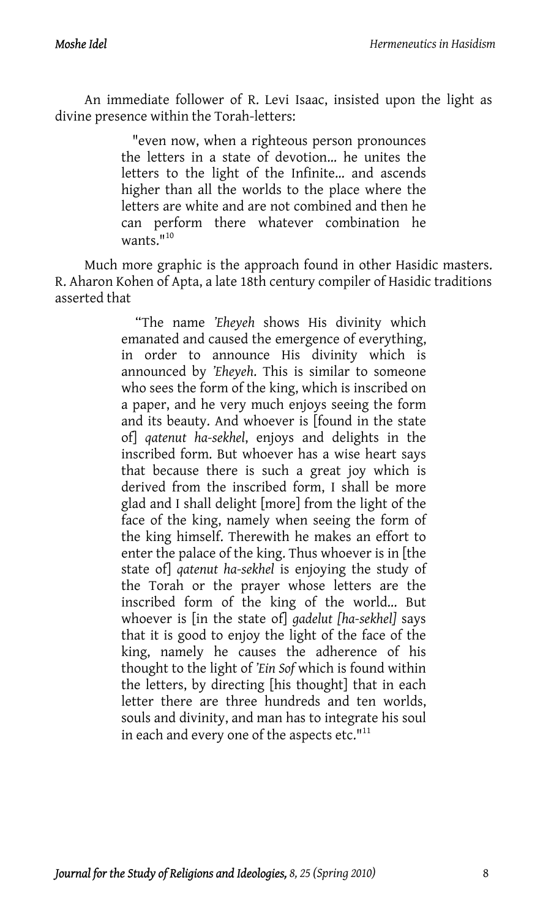An immediate follower of R. Levi Isaac, insisted upon the light as divine presence within the Torah-letters:

> "even now, when a right[eou](#page-13-6)s person pronounces the letters in a state of devotion... he unites the letters to the light of the Infinite... and ascends higher than all the worlds to the place where the letters are white and are not combined and then he can perform there whatever combination he  $w$ ants.  $10$

Much more graphic is the approach found in other Hasidic masters. R. Aharon Kohen of Apta, a late 18th century compiler of Hasidic traditions asserted that

> "The name *'Eheyeh* shows His divinity which emanated and caused the emergence of everything, in order to announce His divinity which is announced by *'Eheyeh*. This is similar to someone who sees the form of the king, which is inscribed on a paper, and he very much enjoys seeing the form and its beauty. And whoever is [found in the state of] *qatenut ha-sekhel*, enjoys and delights in the inscribed form. But whoever has a wise heart says that because there is such a great joy which is derived from the inscribed form, I shall be more glad and I shall delight [more] from the light of the face of the king, namely when seeing the form of the king himself. Therewith he makes an effort to enter the palace of the king. Thus whoever is in [the state of] *qatenut ha-sekhel* is enjoying the study of the Torah or the prayer whose letters are the inscribed form of the king of the world... But whoever is [in the state of] *gadelut [ha-sekhel]* says that it is good to enjoy the light of the face of the king, namely he causes the adherence of his thought to the light of *'Ein Sof* which is found within the letters, by directing [his thought] that in each letter there are three hundreds and ten worlds, souls and divinity, and man has to integrate his soul in each and every one of the aspects etc."<sup>11</sup>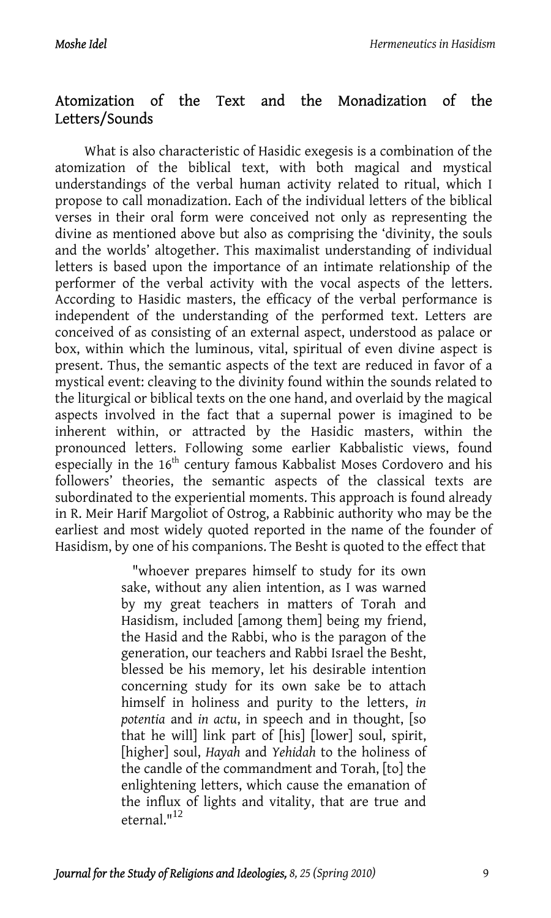#### Atomization of the Text and the Monadization of the Letters/Sounds

What is also characteristic of Hasidic exegesis is a combination of the atomization of the biblical text, with both magical and mystical understandings of the verbal human activity related to ritual, which I propose to call monadization. Each of the individual letters of the biblical verses in their oral form were conceived not only as representing the divine as mentioned above but also as comprising the 'divinity, the souls and the worlds' altogether. This maximalist understanding of individual letters is based upon the importance of an intimate relationship of the performer of the verbal activity with the vocal aspects of the letters. According to Hasidic masters, the efficacy of the verbal performance is independent of the understanding of the performed text. Letters are conceived of as consisting of an external aspect, understood as palace or box, within which the luminous, vital, spiritual of even divine aspect is present. Thus, the semantic aspects of the text are reduced in favor of a mystical event: cleaving to the divinity found within the sounds related to the liturgical or biblical texts on the one hand, and overlaid by the magical aspects involved in the fact that a supernal power is imagined to be inherent within, or attracted by the Hasidic masters, within the pronounced letters. Following some earlier Kabbalistic views, found especially in the 16<sup>th</sup> century famous Kabbalist Moses Cordovero and his followers' theories, the semantic aspects of the classical texts are subordinated to the experiential moments. This approach is found already in R. Meir Harif Margoliot of Ostrog, a Rabbinic authority who may be the earliest and most widely quoted reported in the name of the founder of Hasidism, by one of his companions. The Besht is quoted to the effect that

> "whoever prepares himself to study for its own sake, without any alien intention, as I was warned by my great teachers in matters of Torah and Hasidism, included [among them] being my friend, the Hasid and the Rabbi, who is the paragon of the generation, our teachers and Rabbi Israel the Besht, blessed be his memory, let his desirable intention concerning study for its own sake be to attach himself in holiness and purity to the letters, *in potentia* and *in actu*, in spee[ch](#page-13-7) and in thought, [so that he will] link part of [his] [lower] soul, spirit, [higher] soul, *Hayah* and *Yehidah* to the holiness of the candle of the commandment and Torah, [to] the enlightening letters, which cause the emanation of the influx of lights and vitality, that are true and eternal."<sup>12</sup>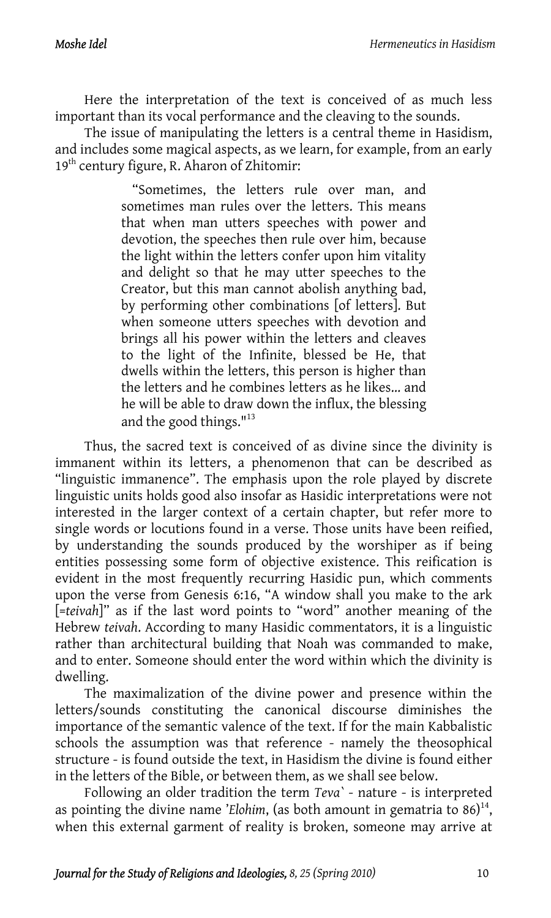Here the interpretation of the text is conceived of as much less important than its vocal performance and the cleaving to the sounds.

The issue of manipulating the letters is a central theme in Hasidism, and includes some magical aspects, as we learn, for example, from an early 19<sup>th</sup> century figure, R. Aharon of Zhitomir:

> "Sometimes, the letters rule over man, and sometimes man rules over the letters. This means that when man utters speeches with power and devotion, the speeches then rule over him, because the light within the letters confer upon him vitality and delight so that he may utter speeches to the Creator, but this man cannot abolish anything bad, by performing other combinations [of letters]. But when someone utters speeches with de[vot](#page-13-8)ion and brings all his power within the letters and cleaves to the light of the Infinite, blessed be He, that dwells within the letters, this person is higher than the letters and he combines letters as he likes... and he will be able to draw down the influx, the blessing and the good things. $113$

Thus, the sacred text is conceived of as divine since the divinity is immanent within its letters, a phenomenon that can be described as "linguistic immanence". The emphasis upon the role played by discrete linguistic units holds good also insofar as Hasidic interpretations were not interested in the larger context of a certain chapter, but refer more to single words or locutions found in a verse. Those units have been reified, by understanding the sounds produced by the worshiper as if being entities possessing some form of objective existence. This reification is evident in the most frequently recurring Hasidic pun, which comments upon the verse from Genesis 6:16, "A window shall you make to the ark [=*teivah*]" as if the last word points to "word" another meaning of the Hebrew *teivah*. According to many Hasidic commentators, it is a linguistic rather than architectural building that Noah was commanded to make, and to enter. Someone should enter the word within which the divinity is dwelling.

The maximalization of the divine power and presence within the letters/sounds constituting the canonical discourse diminishes the importance of the semantic valence of the text. If for the main Kabbalistic schools the assumption was that reference - namely the theosophical structure - is found outside the text, in Hasidism the divine is found either in the letters of the Bible, or between them, as we shall see below.

Following an older tradition the term *Teva`* - nature - is interpreted as pointing the divine name '*Elohim*, (as both amount in gematria to  $86$ )<sup>14</sup>, when this external garment of reality is broken, someone may arrive at

*Journal for the Study of Religions and Ideologies, 8, 25 (Spring 2010)* 10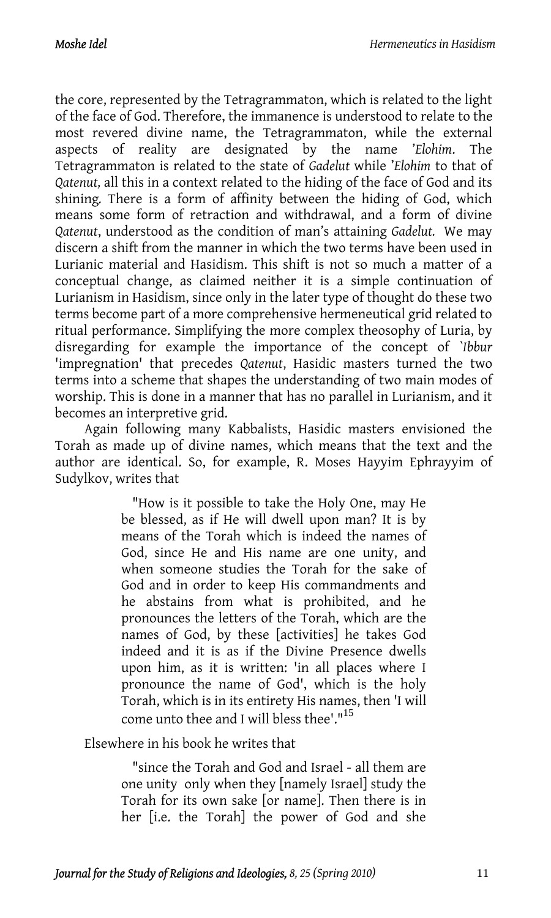the core, represented by the Tetragrammaton, which is related to the light of the face of God. Therefore, the immanence is understood to relate to the most revered divine name, the Tetragrammaton, while the external aspects of reality are designated by the name '*Elohim*. The Tetragrammaton is related to the state of *Gadelut* while '*Elohim* to that of *Qatenut,* all this in a context related to the hiding of the face of God and its shining*.* There is a form of affinity between the hiding of God, which means some form of retraction and withdrawal, and a form of divine *Qatenut*, understood as the condition of man's attaining *Gadelut.* We may discern a shift from the manner in which the two terms have been used in Lurianic material and Hasidism. This shift is not so much a matter of a conceptual change, as claimed neither it is a simple continuation of Lurianism in Hasidism, since only in the later type of thought do these two terms become part of a more comprehensive hermeneutical grid related to ritual performance. Simplifying the more complex theosophy of Luria, by disregarding for example the importance of the concept of *`Ibbur* 'impregnation' that precedes *Qatenut*, Hasidic masters turned the two terms into a scheme that shapes the understanding of two main modes of worship. This is done in a manner that has no parallel in Lurianism, and it becomes an interpretive grid.

Again following many Kabbalists, Hasidic masters envisioned the Torah as made up of divine names, which means that the text and the author are identical. So, for example, R. Moses Hayyim Ephrayyim of Sudylkov, writes that

> "How is it possible to take the Holy One, may He be blessed, as if He will dwell upon man? It is by means of the Torah which is indeed the names of God, since He and His name are one unity, and when someone studies the Torah for the sake of God and in order to keep His commandments and he abstains from what is prohibited, and he pronounces the letters of the Torah, which are the names of God, by these [activities] he takes God indeed and it is as if the Divine Presence dwells upon him, as it is written: 'in all places where I pronounce the name of God', which is the holy Torah, which is in its entirety His names, then 'I will come unto thee and I will bless thee'."<sup>15</sup>

Elsewhere in his book he writes that

"since the Torah and God and Israel - all them are one unity only when they [namely Israel] study the Torah for its own sake [or name]. Then there is in her [i.e. the Torah] the power of God and she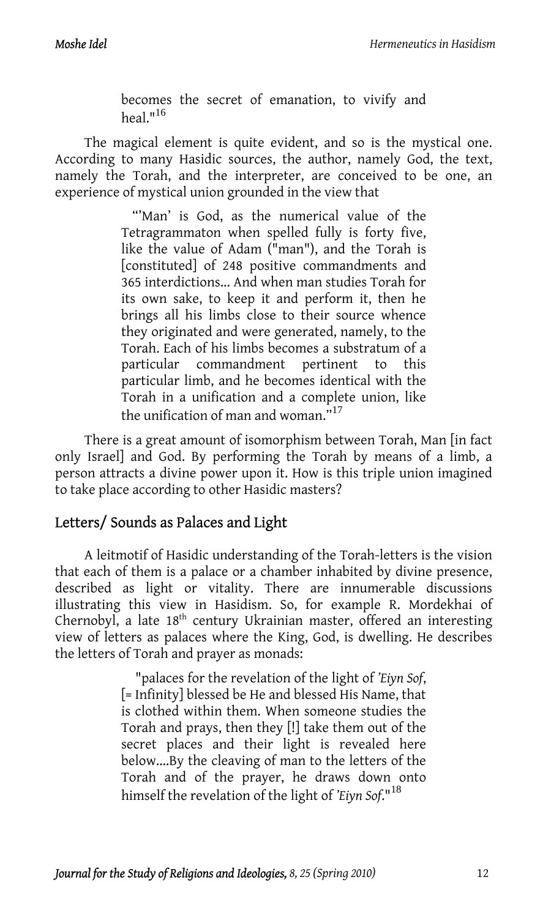becomes the secret of emanation, to vivify and heal  $1^{16}$ 

The magical element is quite evident, and so is the mystical one. According to many Hasidic sources, the author, namely God, the text, namely the Torah, and the interpreter, are conceived to be one, an experience of mystical union grounded in the view that

> "'Man' is God, as the numerical value of the Tetragrammaton when spelled fully is forty five, like the value of Adam ("man"), and the Torah is [constituted] of 248 positive commandments and 365 interdictions... And when man studies Torah for its own sake, to keep it and perform it, then he brings all his limbs close to their source whence they originated and were generated, namely, to the Torah. Each of his limbs becomes a substratum of a particular commandment pertinent to this particular limb, and he becomes identical with the Torah in a unification and a complete union, like the unification of man and woman."<sup>17</sup>

There is a great amount of isomorphism between Torah, Man [in fact only Israel] and God. By performing the Torah by means of a limb, a person attracts a divine power upon it. How is this triple union imagined to take place according to other Hasidic masters?

#### Letters/ Sounds as Palaces and Light

A leitmotif of Hasidic understanding of the Torah-letters is the vision that each of them is a palace or a chamber inhabited by divine presence, described as light or vitality. There are innumerable discussions illustrating this view in Hasidism. So, for example R. Mordekhai of Chernobyl, a late 18<sup>th</sup> century Ukrainian master, offered an interesting view of letters as palaces where the King, God, is dwelling. He describes the letters of Torah and prayer as monads:

> "palaces for the revelation of the light of *'Eiyn Sof*, [= Infinity] blessed be He and blessed His Name, that is clothed within them. When someone studies the Torah and prays, then they [!] take them out of the secret places and their light is revealed here below....By the cleaving of man to the letters of the Torah and of the prayer, he draws down onto himself the revelation of the light of *'Eiyn Sof*."<sup>18</sup>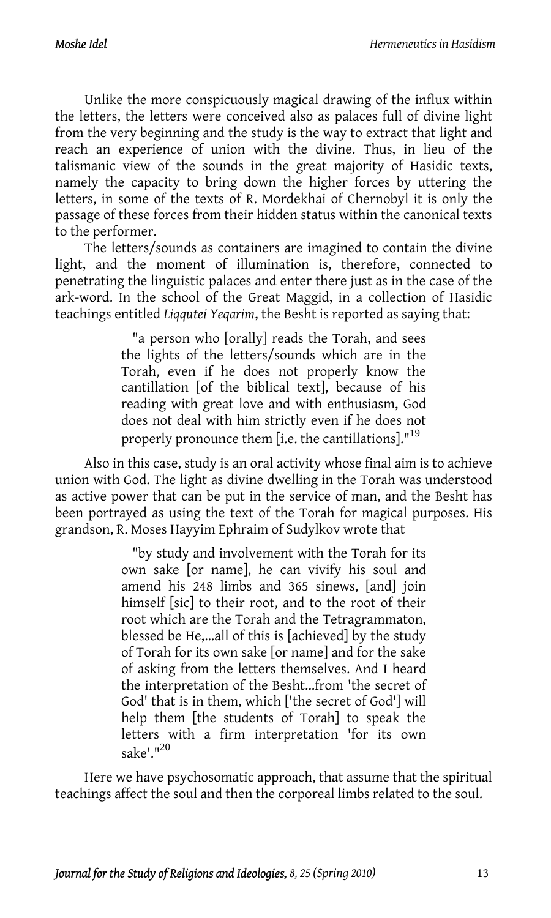Unlike the more conspicuously magical drawing of the influx within the letters, the letters were conceived also as palaces full of divine light from the very beginning and the study is the way to extract that light and reach an experience of union with the divine. Thus, in lieu of the talismanic view of the sounds in the great majority of Hasidic texts, namely the capacity to bring down the higher forces by uttering the letters, in some of the texts of R. Mordekhai of Chernobyl it is only the passage of these forces from their hidden status within the canonical texts to the performer.

The letters/sounds as containers are imagined to contain the divine light, and the moment of illumination is, therefore, connected to penetrating the linguistic palaces and enter there just as in the case of the ark-word. In the school of the Great Maggid, in a collection of Hasidic teachings entitled *Liqqutei Yeqarim*, the Besht is reported as saying that:

> "a person who [orally] reads the Torah, and sees the lights of the letters/sounds which are in the Torah, even if he does not properly know the cantillation [of the biblical text], because of his reading with great love and with enthusiasm, God does not deal with him strictly even if he does not properly pronounce them [i.e. the cantillations]."<sup>19</sup>

Also in this case, study is an oral activity whose final aim is to achieve union with God. The light as divine dwelling in the Torah was understood as active power that can be put in the service of man, and the Besht has been portrayed as using the text of the Torah for magical purposes. His grandson, R. Moses Hayyim Ephraim of Sudylkov wrote that

> "by study and involvement with the Torah for its own sake [or name], he can vivify his soul and amend his 248 limbs and 365 sinews, [and] join himself [sic] to their root, and to the root of their root which are the Torah and the Tetragrammaton, blessed be He,...all of this is [achieved] by the study of Torah for its own sake [[or n](#page-13-9)ame] and for the sake of asking from the letters themselves. And I heard the interpretation of the Besht...from 'the secret of God' that is in them, which ['the secret of God'] will help them [the students of Torah] to speak the letters with a firm interpretation 'for its own sake'." $^{20}$

Here we have psychosomatic approach, that assume that the spiritual teachings affect the soul and then the corporeal limbs related to the soul.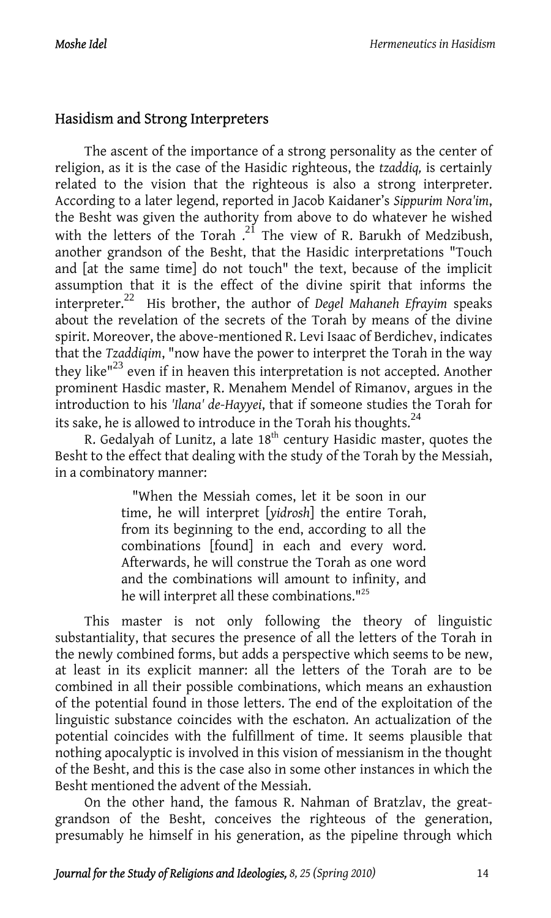# Hasidism and Strong Interpreters

The ascent of the importance of a strong personality as the center of religion, as it is the case of the Hasidic righteous, the *tzaddiq,* is certainly related to the vision that th[e r](#page-13-10)ighteous is also a strong interpreter. According to a later legend, reported in Jacob Kaidaner's *Sippurim Nora'im*, the Besht was given the authority from above to do whatever he wished with the letters of the Torah  $.2^{1}$  The view of R. Barukh of Medzibush, another grandson of the Bes[ht,](#page-13-11) that the Hasidic interpretations "Touch and [at the same time] do not touch" the text, because of the implicit assumption that it is the effect of the divine spirit that informs the interpreter. <sup>22</sup> His brother, the author of *Degel Mahaneh Efrayim* speaks about the revelation of the secrets of the Torah by means of the divine spirit. Moreover, the above-mentioned R. Levi Isaac of Berdichev, indicates that the *Tzaddiqim*, "now have the power to interpret the Torah in the way they like"23 even if in heaven this interpretation is not accepted. Another prominent Hasdic master, R. Menahem Mendel of Rimanov, argues in the introduction to his *'Ilana' de-Hayyei*, that if someone studies the Torah for its sake, he is allowed to introduce in the Torah his thoughts. $^{24}$ 

R. Gedalyah of Lunitz, a late 18<sup>th</sup> century Hasidic master, quotes the Besht to the effect that dealing with the study of the Torah by the Messiah, in a combinatory manner:

> "When the Messiah comes, let it be soon in our time, he will interpret [*yidrosh*] the entire Torah, from its beginning to the end, according to all the combinations [found] in each and every word. Afterwards, he will construe the Torah as one word and the combinations will amount to infinity, and he will interpret all these combinations."25

This master is not only following the theory of linguistic substantiality, that secures the presence of all the letters of the Torah in the newly combined forms, but adds a perspective which seems to be new, at least in its explicit manner: all the letters of the Torah are to be combined in all their possible combinations, which means an exhaustion of the potential found in those letters. The end of the exploitation of the linguistic substance coincides with the eschaton. An actualization of the potential coincides with the fulfillment of time. It seems plausible that nothing apocalyptic is involved in this vision of messianism in the thought of the Besht, and this is the case also in some other instances in which the Besht mentioned the advent of the Messiah.

On the other hand, the famous R. Nahman of Bratzlav, the greatgrandson of the Besht, conceives the righteous of the generation, presumably he himself in his generation, as the pipeline through which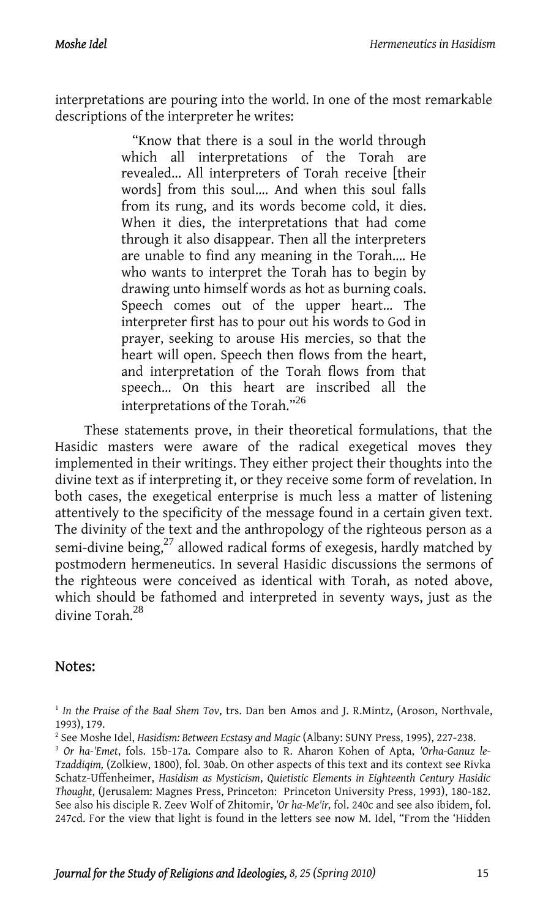interpretations are pouring into the world. In one of the most remarkable descriptions of the interpreter he writes:

> "Know that there is a soul in the world through which all interpretations of the Torah are revealed... All interpreters of Torah receive [their words] from this soul.... And when this soul falls from its rung, and its words become cold, it dies. When it dies, the interpretations that had come through it also disappear. Then all the interpreters are unable to find any meaning in the Torah.... He who wants to interpret the Torah has to begin by drawing unto himself words as hot as burning coals. Speech comes out of t[he](#page-13-12) upper heart... The interpreter first has to pour out his words to God in prayer, seeking to arouse His mercies, so that the heart will open. Speech then flows from the heart, and interpretation of the Torah flows from that speech... On this heart are inscribed all the interpretations of the Torah."<sup>26</sup>

These statements prove, in thei[r th](#page-13-13)eoretical formulations, that the Hasidic masters were aware of the radical exegetical moves they implemented in their writings. They either project their thoughts into the divine text as if interpreting it, or they receive some form of revelation. In both cases, the exegetical enter[pri](#page-13-14)se is much less a matter of listening attentively to the specificity of the message found in a certain given text. The divinity of the text and the anthropology of the righteous person as a semi-divine being, $^{27}$  allowed radical forms of exegesis, hardly matched by postmodern hermeneutics. In several Hasidic discussions the sermons of the righteous were conceived as identical with Torah, as noted above, which should be fathomed and interpreted in seventy ways, just as the divine Torah.<sup>28</sup>

## Notes:

<sup>1</sup> *In the Praise of the Baal Shem Tov*, trs. Dan ben Amos and J. R.Mintz, (Aroson, Northvale,

<sup>1993), 179.&</sup>lt;br><sup>2</sup> See Moshe Idel, *Hasidism: Between Ecstasy and Magic* (Albany: SUNY Press, 1995), 227-238.

<sup>&</sup>lt;sup>3</sup> Or ha-'Emet, fols. 15b-17a. Compare also to R. Aharon Kohen of Apta, 'Orha-Ganuz le-*Tzaddiqim,* (Zolkiew, 1800), fol. 30ab. On other aspects of this text and its context see Rivka Schatz-Uffenheimer, *Hasidism as Mysticism*, *Quietistic Elements in Eighteenth Century Hasidic Thought*, (Jerusalem: Magnes Press, Princeton: Princeton University Press, 1993), 180-182. See also his disciple R. Zeev Wolf of Zhitomir, *'Or ha-Me'ir,* fol. 240c and see also ibidem, fol. 247cd. For the view that light is found in the letters see now M. Idel, "From the 'Hidden